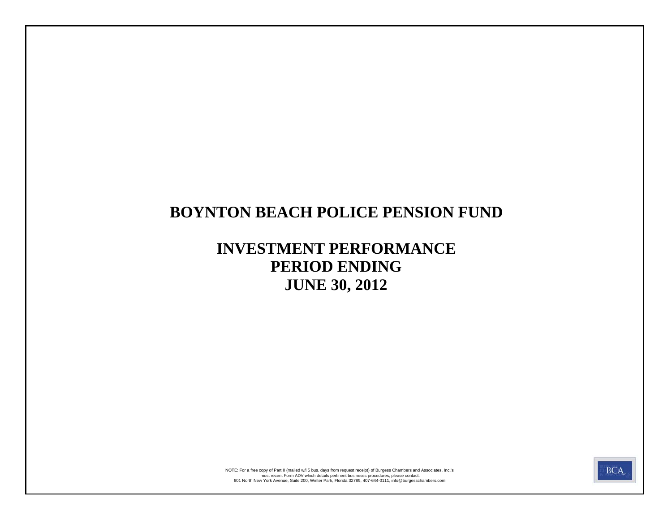# **BOYNTON BEACH POLICE PENSION FUND**

# **INVESTMENT PERFORMANCE PERIOD ENDING JUNE 30, 2012**



most recent Form ADV which details pertinent businesss procedures, please contact:<br>601 North New York Avenue, Suite 200, Winter Park, Florida 32789, 407-644-0111, info@burgesschambers.com NOTE: For a free copy of Part II (mailed w/i 5 bus. days from request receipt) of Burgess Chambers and Associates, Inc.'s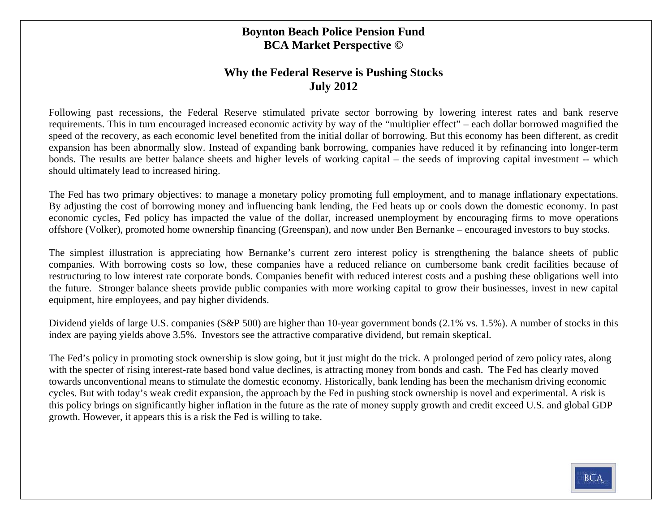#### **Boynton Beach Police Pension Fund BCA Market Perspective ©**

#### **Why the Federal Reserve is Pushing Stocks July 2012**

Following past recessions, the Federal Reserve stimulated private sector borrowing by lowering interest rates and bank reserve requirements. This in turn encouraged increased economic activity by way of the "multiplier effect" – each dollar borrowed magnified the speed of the recovery, as each economic level benefited from the initial dollar of borrowing. But this economy has been different, as credit expansion has been abnormally slow. Instead of expanding bank borrowing, companies have reduced it by refinancing into longer-term bonds. The results are better balance sheets and higher levels of working capital – the seeds of improving capital investment -- which should ultimately lead to increased hiring.

The Fed has two primary objectives: to manage a monetary policy promoting full employment, and to manage inflationary expectations. By adjusting the cost of borrowing money and influencing bank lending, the Fed heats up or cools down the domestic economy. In past economic cycles, Fed policy has impacted the value of the dollar, increased unemployment by encouraging firms to move operations offshore (Volker), promoted home ownership financing (Greenspan), and now under Ben Bernanke – encouraged investors to buy stocks.

The simplest illustration is appreciating how Bernanke's current zero interest policy is strengthening the balance sheets of public companies. With borrowing costs so low, these companies have a reduced reliance on cumbersome bank credit facilities because of restructuring to low interest rate corporate bonds. Companies benefit with reduced interest costs and a pushing these obligations well into the future. Stronger balance sheets provide public companies with more working capital to grow their businesses, invest in new capital equipment, hire employees, and pay higher dividends.

Dividend yields of large U.S. companies (S&P 500) are higher than 10-year government bonds (2.1% vs. 1.5%). A number of stocks in this index are paying yields above 3.5%. Investors see the attractive comparative dividend, but remain skeptical.

The Fed's policy in promoting stock ownership is slow going, but it just might do the trick. A prolonged period of zero policy rates, along with the specter of rising interest-rate based bond value declines, is attracting money from bonds and cash. The Fed has clearly moved towards unconventional means to stimulate the domestic economy. Historically, bank lending has been the mechanism driving economic cycles. But with today's weak credit expansion, the approach by the Fed in pushing stock ownership is novel and experimental. A risk is this policy brings on significantly higher inflation in the future as the rate of money supply growth and credit exceed U.S. and global GDP growth. However, it appears this is a risk the Fed is willing to take.

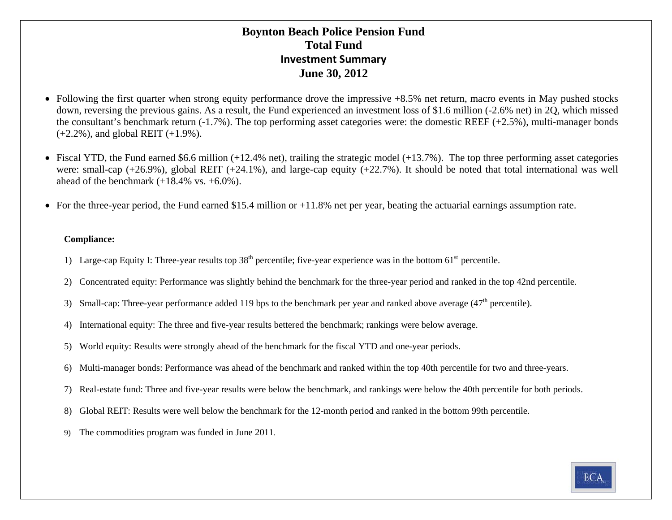#### **Boynton Beach Police Pension Fund Total FundInvestment Summary June 30, 2012**

- Following the first quarter when strong equity performance drove the impressive +8.5% net return, macro events in May pushed stocks down, reversing the previous gains. As a result, the Fund experienced an investment loss of \$1.6 million (-2.6% net) in 2Q, which missed the consultant's benchmark return (-1.7%). The top performing asset categories were: the domestic REEF (+2.5%), multi-manager bonds (+2.2%), and global REIT (+1.9%).
- Fiscal YTD, the Fund earned \$6.6 million (+12.4% net), trailing the strategic model (+13.7%). The top three performing asset categories were: small-cap  $(+26.9\%)$ , global REIT  $(+24.1\%)$ , and large-cap equity  $(+22.7\%)$ . It should be noted that total international was well ahead of the benchmark  $(+18.4\% \text{ vs. } +6.0\%).$
- For the three-year period, the Fund earned \$15.4 million or +11.8% net per year, beating the actuarial earnings assumption rate.

#### **Compliance:**

- 1) Large-cap Equity I: Three-year results top  $38<sup>th</sup>$  percentile; five-year experience was in the bottom  $61<sup>st</sup>$  percentile.
- 2) Concentrated equity: Performance was slightly behind the benchmark for the three-year period and ranked in the top 42nd percentile.
- 3) Small-cap: Three-year performance added 119 bps to the benchmark per year and ranked above average  $(47<sup>th</sup>$  percentile).
- 4) International equity: The three and five-year results bettered the benchmark; rankings were below average.
- 5) World equity: Results were strongly ahead of the benchmark for the fiscal YTD and one-year periods.
- 6) Multi-manager bonds: Performance was ahead of the benchmark and ranked within the top 40th percentile for two and three-years.
- 7) Real-estate fund: Three and five-year results were below the benchmark, and rankings were below the 40th percentile for both periods.
- 8) Global REIT: Results were well below the benchmark for the 12-month period and ranked in the bottom 99th percentile.
- 9) The commodities program was funded in June 2011.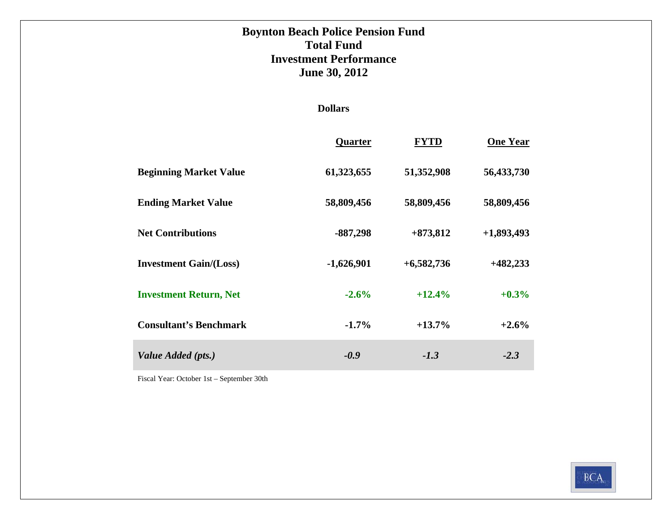### **Boynton Beach Police Pension Fund Total FundInvestment Performance June 30, 2012**

#### **Dollars**

|                               | Quarter      | <b>FYTD</b>  | <b>One Year</b> |
|-------------------------------|--------------|--------------|-----------------|
| <b>Beginning Market Value</b> | 61,323,655   | 51,352,908   | 56,433,730      |
| <b>Ending Market Value</b>    | 58,809,456   | 58,809,456   | 58,809,456      |
| <b>Net Contributions</b>      | $-887,298$   | $+873,812$   | $+1,893,493$    |
| <b>Investment Gain/(Loss)</b> | $-1,626,901$ | $+6,582,736$ | $+482,233$      |
| <b>Investment Return, Net</b> | $-2.6%$      | $+12.4%$     | $+0.3\%$        |
| <b>Consultant's Benchmark</b> | $-1.7\%$     | $+13.7%$     | $+2.6%$         |
| Value Added (pts.)            | $-0.9$       | $-1.3$       | $-2.3$          |

Fiscal Year: October 1st – September 30th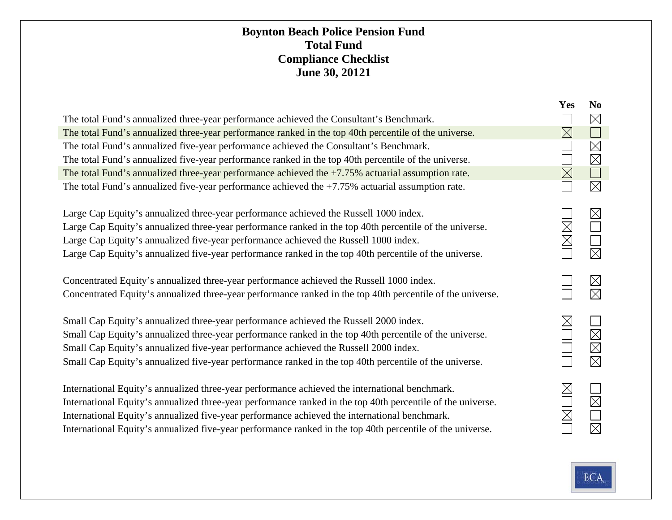#### **Boynton Beach Police Pension Fund Total FundCompliance Checklist June 30, 20121**

|                                                                                                                                                                                                                                                                                                                                                                                                                              | <b>Yes</b>                 | N <sub>0</sub>                                         |
|------------------------------------------------------------------------------------------------------------------------------------------------------------------------------------------------------------------------------------------------------------------------------------------------------------------------------------------------------------------------------------------------------------------------------|----------------------------|--------------------------------------------------------|
| The total Fund's annualized three-year performance achieved the Consultant's Benchmark.                                                                                                                                                                                                                                                                                                                                      |                            | $\boxtimes$                                            |
| The total Fund's annualized three-year performance ranked in the top 40th percentile of the universe.                                                                                                                                                                                                                                                                                                                        | $\times$                   |                                                        |
| The total Fund's annualized five-year performance achieved the Consultant's Benchmark.                                                                                                                                                                                                                                                                                                                                       |                            | $\boxtimes$                                            |
| The total Fund's annualized five-year performance ranked in the top 40th percentile of the universe.                                                                                                                                                                                                                                                                                                                         |                            | $\boxtimes$                                            |
| The total Fund's annualized three-year performance achieved the $+7.75%$ actuarial assumption rate.                                                                                                                                                                                                                                                                                                                          | $\boxtimes$                |                                                        |
| The total Fund's annualized five-year performance achieved the $+7.75\%$ actuarial assumption rate.                                                                                                                                                                                                                                                                                                                          |                            | $\boxtimes$                                            |
| Large Cap Equity's annualized three-year performance achieved the Russell 1000 index.<br>Large Cap Equity's annualized three-year performance ranked in the top 40th percentile of the universe.<br>Large Cap Equity's annualized five-year performance achieved the Russell 1000 index.<br>Large Cap Equity's annualized five-year performance ranked in the top 40th percentile of the universe.                           | $\boxtimes$<br>$\boxtimes$ | $\boxtimes$<br>$\Box$<br>$\boxtimes$                   |
| Concentrated Equity's annualized three-year performance achieved the Russell 1000 index.<br>Concentrated Equity's annualized three-year performance ranked in the top 40th percentile of the universe.                                                                                                                                                                                                                       |                            | $\boxtimes$<br>$\times$                                |
| Small Cap Equity's annualized three-year performance achieved the Russell 2000 index.<br>Small Cap Equity's annualized three-year performance ranked in the top 40th percentile of the universe.<br>Small Cap Equity's annualized five-year performance achieved the Russell 2000 index.<br>Small Cap Equity's annualized five-year performance ranked in the top 40th percentile of the universe.                           | $\boxtimes$                | $\sim$ 1.<br>$\boxtimes$<br>$\boxtimes$<br>$\boxtimes$ |
| International Equity's annualized three-year performance achieved the international benchmark.<br>International Equity's annualized three-year performance ranked in the top 40th percentile of the universe.<br>International Equity's annualized five-year performance achieved the international benchmark.<br>International Equity's annualized five-year performance ranked in the top 40th percentile of the universe. | $\times$<br>$\times$       | $\boxtimes$<br>$\boxtimes$                             |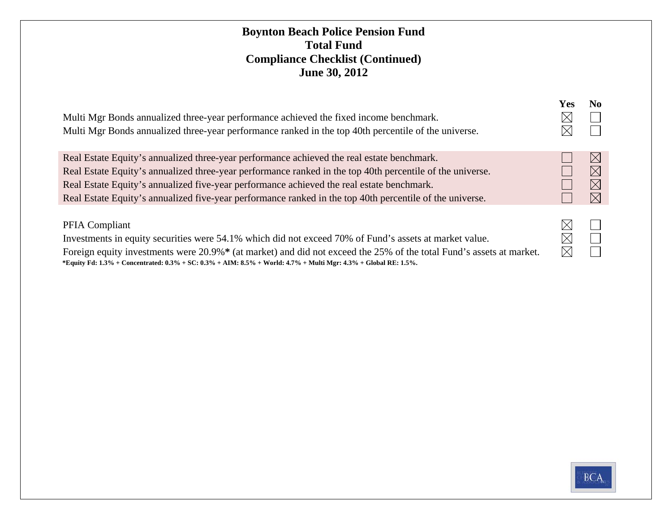#### **Boynton Beach Police Pension Fund Total FundCompliance Checklist (Continued) June 30, 2012**

| Multi Mgr Bonds annualized three-year performance achieved the fixed income benchmark.<br>Multi Mgr Bonds annualized three-year performance ranked in the top 40th percentile of the universe.                                                                                                                                                                                                                   | Yes<br>Х<br>Х             | N <sub>0</sub>                                     |
|------------------------------------------------------------------------------------------------------------------------------------------------------------------------------------------------------------------------------------------------------------------------------------------------------------------------------------------------------------------------------------------------------------------|---------------------------|----------------------------------------------------|
| Real Estate Equity's annualized three-year performance achieved the real estate benchmark.<br>Real Estate Equity's annualized three-year performance ranked in the top 40th percentile of the universe.<br>Real Estate Equity's annualized five-year performance achieved the real estate benchmark.<br>Real Estate Equity's annualized five-year performance ranked in the top 40th percentile of the universe. |                           | $\times$<br>$\times$<br>$\boxtimes$<br>$\boxtimes$ |
| <b>PFIA Compliant</b><br>Investments in equity securities were 54.1% which did not exceed 70% of Fund's assets at market value.<br>Foreign equity investments were 20.9%* (at market) and did not exceed the 25% of the total Fund's assets at market.<br>*Equity Fd: 1.3% + Concentrated: $0.3\%$ + SC: $0.3\%$ + AIM: 8.5% + World: 4.7% + Multi Mgr: 4.3% + Global RE: 1.5%.                                  | Х<br>$\times$<br>$\times$ |                                                    |

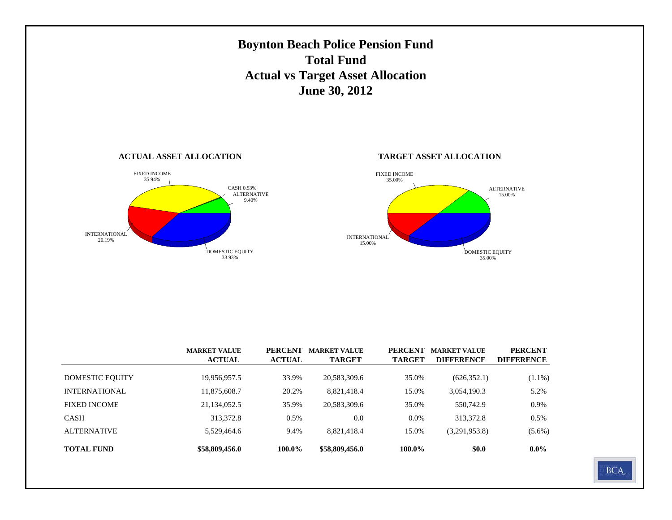

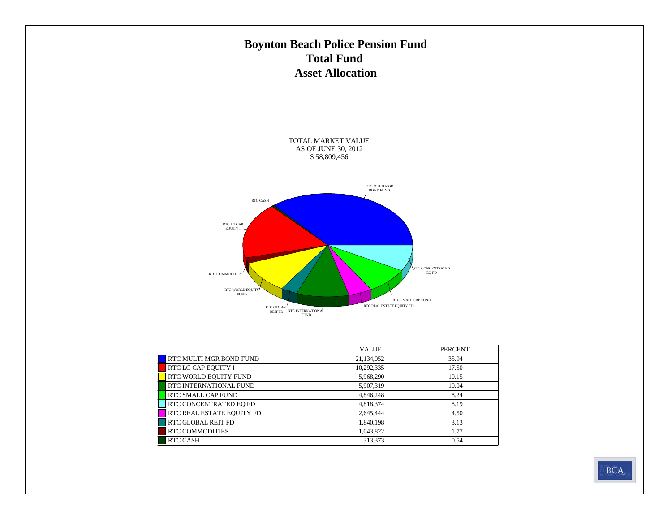### **Boynton Beach Police Pension Fund Total Fund Asset Allocation**

TOTAL MARKET VALUE AS OF JUNE 30, 2012 \$ 58,809,456



|                           | <b>VALUE</b> | <b>PERCENT</b> |
|---------------------------|--------------|----------------|
| RTC MULTI MGR BOND FUND   | 21,134,052   | 35.94          |
| RTC LG CAP EQUITY I       | 10,292,335   | 17.50          |
| RTC WORLD EQUITY FUND     | 5,968,290    | 10.15          |
| RTC INTERNATIONAL FUND    | 5,907,319    | 10.04          |
| <b>RTC SMALL CAP FUND</b> | 4,846,248    | 8.24           |
| RTC CONCENTRATED EO FD    | 4,818,374    | 8.19           |
| RTC REAL ESTATE EQUITY FD | 2,645,444    | 4.50           |
| <b>RTC GLOBAL REIT FD</b> | 1,840,198    | 3.13           |
| <b>RTC COMMODITIES</b>    | 1,043,822    | 1.77           |
| <b>RTC CASH</b>           | 313,373      | 0.54           |

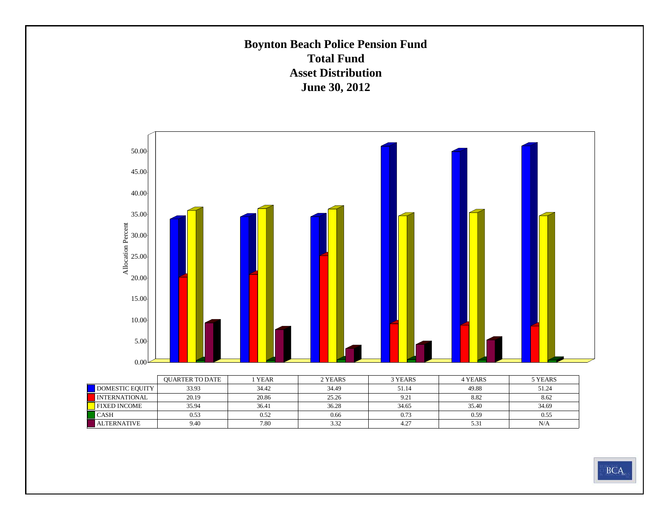### **Boynton Beach Police Pension Fund Total Fund Asset DistributionJune 30, 2012**



|                      | <b>OUARTER TO DATE</b> | <b>YEAR</b> | 2 YEARS | 3 YEARS | <b>4 YEARS</b> | 5 YEARS |
|----------------------|------------------------|-------------|---------|---------|----------------|---------|
| DOMESTIC EQUITY      | 33.93                  | 34.42       | 34.49   | 51.14   | 49.88          | 51.24   |
| <b>INTERNATIONAL</b> | 20.19                  | 20.86       | 25.26   | 9.21    | 8.82           | 8.62    |
| <b>FIXED INCOME</b>  | 35.94                  | 36.41       | 36.28   | 34.65   | 35.40          | 34.69   |
| <b>CASH</b>          | 0.53                   | 0.52        | 0.66    | 0.73    | 0.59           | 0.55    |
| <b>ALTERNATIVE</b>   | 9.40                   | 7.80        | 3.32    | 4.27    | 5.31           | N/A     |

**BCA**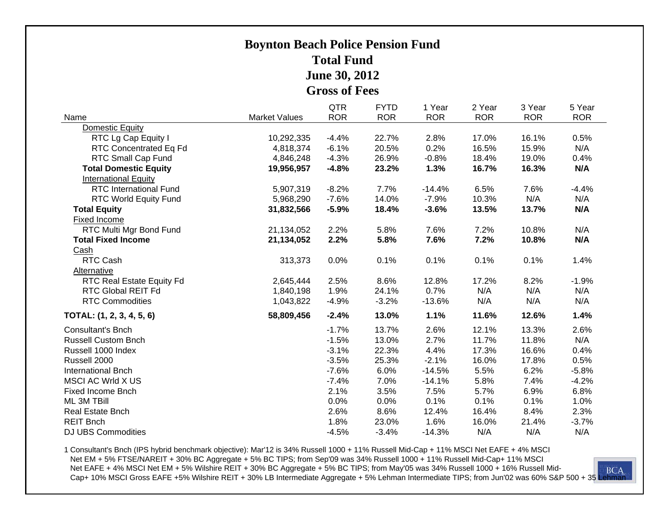### **Boynton Beach Police Pension Fund Total FundJune 30, 2012 Gross of Fees**

|                               |                      | <b>QTR</b> | <b>FYTD</b> | 1 Year     | 2 Year     | 3 Year     | 5 Year     |
|-------------------------------|----------------------|------------|-------------|------------|------------|------------|------------|
| Name                          | <b>Market Values</b> | <b>ROR</b> | <b>ROR</b>  | <b>ROR</b> | <b>ROR</b> | <b>ROR</b> | <b>ROR</b> |
| Domestic Equity               |                      |            |             |            |            |            |            |
| RTC Lg Cap Equity I           | 10,292,335           | $-4.4%$    | 22.7%       | 2.8%       | 17.0%      | 16.1%      | 0.5%       |
| RTC Concentrated Eq Fd        | 4,818,374            | $-6.1%$    | 20.5%       | 0.2%       | 16.5%      | 15.9%      | N/A        |
| RTC Small Cap Fund            | 4,846,248            | $-4.3%$    | 26.9%       | $-0.8%$    | 18.4%      | 19.0%      | 0.4%       |
| <b>Total Domestic Equity</b>  | 19,956,957           | $-4.8%$    | 23.2%       | 1.3%       | 16.7%      | 16.3%      | N/A        |
| <b>International Equity</b>   |                      |            |             |            |            |            |            |
| <b>RTC International Fund</b> | 5,907,319            | $-8.2%$    | 7.7%        | $-14.4%$   | 6.5%       | 7.6%       | $-4.4%$    |
| RTC World Equity Fund         | 5,968,290            | $-7.6%$    | 14.0%       | $-7.9%$    | 10.3%      | N/A        | N/A        |
| <b>Total Equity</b>           | 31,832,566           | $-5.9%$    | 18.4%       | $-3.6%$    | 13.5%      | 13.7%      | N/A        |
| Fixed Income                  |                      |            |             |            |            |            |            |
| RTC Multi Mgr Bond Fund       | 21,134,052           | 2.2%       | 5.8%        | 7.6%       | 7.2%       | 10.8%      | N/A        |
| <b>Total Fixed Income</b>     | 21,134,052           | 2.2%       | 5.8%        | 7.6%       | 7.2%       | 10.8%      | N/A        |
| Cash                          |                      |            |             |            |            |            |            |
| RTC Cash                      | 313,373              | 0.0%       | 0.1%        | 0.1%       | 0.1%       | 0.1%       | 1.4%       |
| Alternative                   |                      |            |             |            |            |            |            |
| RTC Real Estate Equity Fd     | 2,645,444            | 2.5%       | 8.6%        | 12.8%      | 17.2%      | 8.2%       | $-1.9%$    |
| <b>RTC Global REIT Fd</b>     | 1,840,198            | 1.9%       | 24.1%       | 0.7%       | N/A        | N/A        | N/A        |
| <b>RTC Commodities</b>        | 1,043,822            | $-4.9%$    | $-3.2%$     | $-13.6%$   | N/A        | N/A        | N/A        |
| TOTAL: (1, 2, 3, 4, 5, 6)     | 58,809,456           | $-2.4%$    | 13.0%       | 1.1%       | 11.6%      | 12.6%      | 1.4%       |
| <b>Consultant's Bnch</b>      |                      | $-1.7%$    | 13.7%       | 2.6%       | 12.1%      | 13.3%      | 2.6%       |
| <b>Russell Custom Bnch</b>    |                      | $-1.5%$    | 13.0%       | 2.7%       | 11.7%      | 11.8%      | N/A        |
| Russell 1000 Index            |                      | $-3.1%$    | 22.3%       | 4.4%       | 17.3%      | 16.6%      | 0.4%       |
| Russell 2000                  |                      | $-3.5%$    | 25.3%       | $-2.1%$    | 16.0%      | 17.8%      | 0.5%       |
| <b>International Bnch</b>     |                      | $-7.6%$    | 6.0%        | $-14.5%$   | 5.5%       | 6.2%       | $-5.8%$    |
| MSCI AC Wrld X US             |                      | $-7.4%$    | 7.0%        | $-14.1%$   | 5.8%       | 7.4%       | $-4.2%$    |
| <b>Fixed Income Bnch</b>      |                      | 2.1%       | 3.5%        | 7.5%       | 5.7%       | 6.9%       | 6.8%       |
| ML 3M TBill                   |                      | 0.0%       | 0.0%        | 0.1%       | 0.1%       | 0.1%       | 1.0%       |
| Real Estate Bnch              |                      | 2.6%       | 8.6%        | 12.4%      | 16.4%      | 8.4%       | 2.3%       |
| <b>REIT Bnch</b>              |                      | 1.8%       | 23.0%       | 1.6%       | 16.0%      | 21.4%      | $-3.7%$    |
| <b>DJ UBS Commodities</b>     |                      | $-4.5%$    | $-3.4%$     | $-14.3%$   | N/A        | N/A        | N/A        |

1 Consultant's Bnch (IPS hybrid benchmark objective): Mar'12 is 34% Russell 1000 + 11% Russell Mid-Cap + 11% MSCI Net EAFE + 4% MSCI Net EM + 5% FTSE/NAREIT + 30% BC Aggregate + 5% BC TIPS; from Sep'09 was 34% Russell 1000 + 11% Russell Mid-Cap+ 11% MSCI<br>Net EAFE + 4% MSCI Net EM + 5% Wilshire REIT + 30% BC Aggregate + 5% BC TIPS; from May'05 was 34% Ru Net EAFE + 4% MSCI Net EM + 5% Wilshire REIT + 30% BC Aggregate + 5% BC TIPS; from May'05 was 34% Russell 1000 + 16% Russell Mid-Cap+ 10% MSCI Gross EAFE +5% Wilshire REIT + 30% LB Intermediate Aggregate + 5% Lehman Intermediate TIPS; from Jun'02 was 60% S&P 500 + 35 Lehman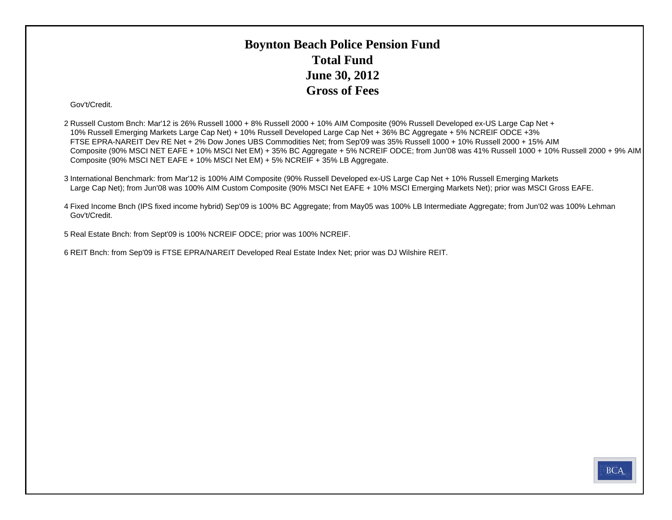### **Boynton Beach Police Pension Fund Total FundJune 30, 2012 Gross of Fees**

#### Gov't/Credit.

2 Russell Custom Bnch: Mar'12 is 26% Russell 1000 + 8% Russell 2000 + 10% AIM Composite (90% Russell Developed ex-US Large Cap Net + 10% Russell Emerging Markets Large Cap Net) + 10% Russell Developed Large Cap Net + 36% BC Aggregate + 5% NCREIF ODCE +3% FTSE EPRA-NAREIT Dev RE Net + 2% Dow Jones UBS Commodities Net; from Sep'09 was 35% Russell 1000 + 10% Russell 2000 + 15% AIM Composite (90% MSCI NET EAFE + 10% MSCI Net EM) + 35% BC Aggregate + 5% NCREIF ODCE; from Jun'08 was 41% Russell 1000 + 10% Russell 2000 + 9% AIM Composite (90% MSCI NET EAFE + 10% MSCI Net EM) + 5% NCREIF + 35% LB Aggregate.

3 International Benchmark: from Mar'12 is 100% AIM Composite (90% Russell Developed ex-US Large Cap Net + 10% Russell Emerging Markets Large Cap Net); from Jun'08 was 100% AIM Custom Composite (90% MSCI Net EAFE + 10% MSCI Emerging Markets Net); prior was MSCI Gross EAFE.

4 Fixed Income Bnch (IPS fixed income hybrid) Sep'09 is 100% BC Aggregate; from May05 was 100% LB Intermediate Aggregate; from Jun'02 was 100% Lehman Gov't/Credit.

5 Real Estate Bnch: from Sept'09 is 100% NCREIF ODCE; prior was 100% NCREIF.

6 REIT Bnch: from Sep'09 is FTSE EPRA/NAREIT Developed Real Estate Index Net; prior was DJ Wilshire REIT.

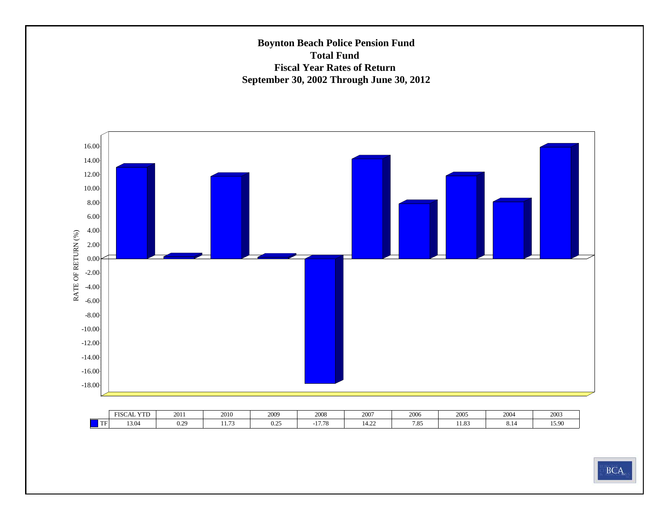#### **Boynton Beach Police Pension Fund Total Fund Fiscal Year Rates of Return September 30, 2002 Through June 30, 2012**



|           | X/TD<br><b>FISCA</b><br>1 L | 2011                      | 2010               | 2000<br>ZUU)        | 0000<br>zuus        | 2007     | 2006        | 2005             | 200           | 2003  |
|-----------|-----------------------------|---------------------------|--------------------|---------------------|---------------------|----------|-------------|------------------|---------------|-------|
| l mm<br>. | 13.04                       | $\sim$<br>,,<br>U.L.<br>. | $\sim$ $\sim$<br>. | $\mathbf{a}$<br>0.2 | 1770<br>1.10<br>- 1 | . .<br>. | 705<br>1.0J | $\Omega$<br>1.O. | $0.1^{\circ}$ | 15.90 |

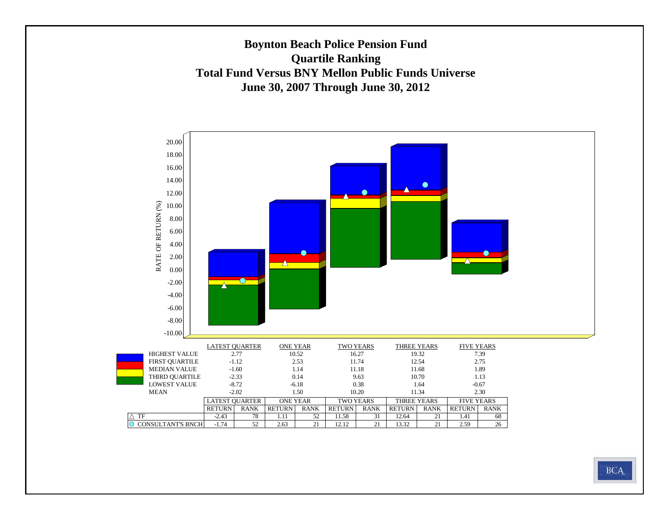#### **Boynton Beach Police Pension Fund Quartile Ranking Total Fund Versus BNY Mellon Public Funds UniverseJune 30, 2007 Through June 30, 2012**

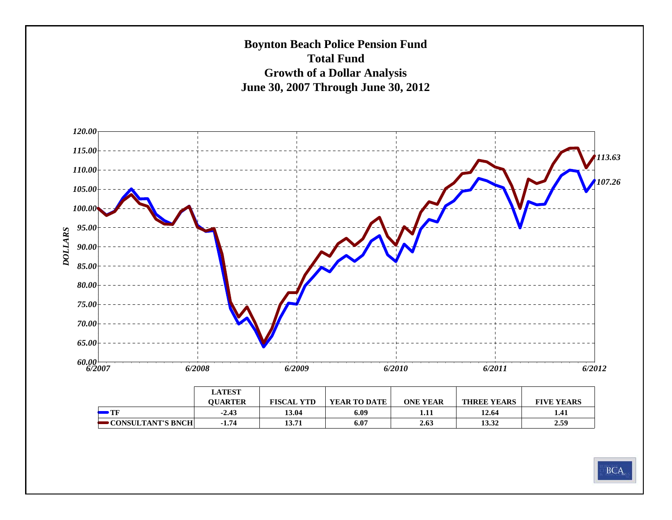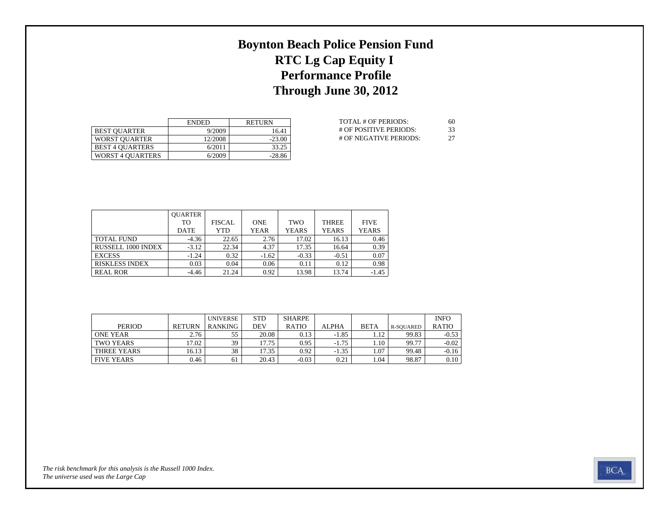## **Boynton Beach Police Pension Fund RTC Lg Cap Equity I Performance Profile Through June 30, 2012**

|                         | <b>ENDED</b> | <b>RETURN</b> |
|-------------------------|--------------|---------------|
| <b>BEST OUARTER</b>     | 9/2009       | 16.41         |
| <b>WORST OUARTER</b>    | 12/2008      | $-23.00$      |
| <b>BEST 4 OUARTERS</b>  | 6/2011       | 33.25         |
| <b>WORST 4 OUARTERS</b> | 6/2009       | $-28.86$      |

| TOTAL # OF PERIODS:    | 60 |
|------------------------|----|
| # OF POSITIVE PERIODS: | 33 |
| # OF NEGATIVE PERIODS: | 27 |

|                       | <b>OUARTER</b> |               |             |              |              |              |
|-----------------------|----------------|---------------|-------------|--------------|--------------|--------------|
|                       | TO             | <b>FISCAL</b> | <b>ONE</b>  | TWO          | <b>THREE</b> | <b>FIVE</b>  |
|                       | <b>DATE</b>    | YTD           | <b>YEAR</b> | <b>YEARS</b> | <b>YEARS</b> | <b>YEARS</b> |
| <b>TOTAL FUND</b>     | $-4.36$        | 22.65         | 2.76        | 17.02        | 16.13        | 0.46         |
| RUSSELL 1000 INDEX    | $-3.12$        | 22.34         | 4.37        | 17.35        | 16.64        | 0.39         |
| <b>EXCESS</b>         | $-1.24$        | 0.32          | $-1.62$     | $-0.33$      | $-0.51$      | 0.07         |
| <b>RISKLESS INDEX</b> | 0.03           | 0.04          | 0.06        | 0.11         | 0.12         | 0.98         |
| <b>REAL ROR</b>       | $-4.46$        | 21.24         | 0.92        | 13.98        | 13.74        | $-1.45$      |

|                   |               | <b>UNIVERSE</b> | <b>STD</b> | SHARPE       |              |             |           | <b>INFO</b>  |
|-------------------|---------------|-----------------|------------|--------------|--------------|-------------|-----------|--------------|
| <b>PERIOD</b>     | <b>RETURN</b> | <b>RANKING</b>  | DEV        | <b>RATIO</b> | <b>ALPHA</b> | <b>BETA</b> | R-SOUARED | <b>RATIO</b> |
| ONE YEAR          | 2.76          | 55              | 20.08      | 0.13         | $-1.85$      | 1.12        | 99.83     | $-0.53$      |
| TWO YEARS         | $'7.02$ .     | 39              | 17.75      | 0.95         | $-1.75$      | $1.10^{-7}$ | 99.77     | $-0.02$      |
| THREE YEARS       | 16.13         | 38              | 17.35      | 0.92         | $-1.35$      | 1.07        | 99.48     | $-0.16$      |
| <b>FIVE YEARS</b> | 0.46          | 61              | 20.43      | $-0.03$      | 0.21         | 1.04        | 98.87     | 0.10         |

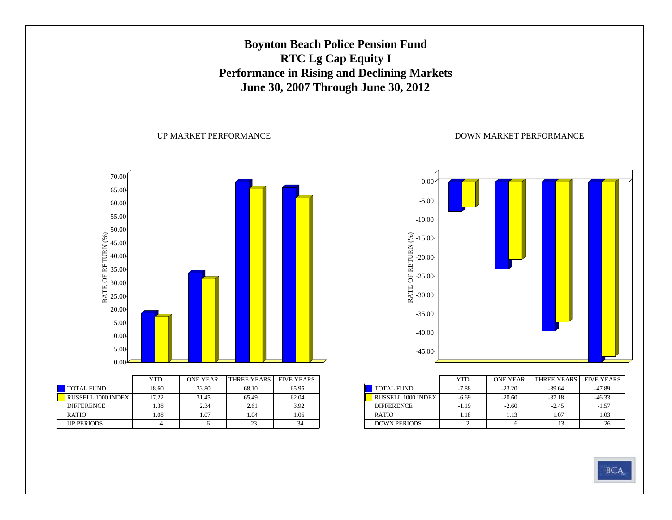### **Boynton Beach Police Pension Fund RTC Lg Cap Equity I Performance in Rising and Declining Markets June 30, 2007 Through June 30, 2012**

#### UP MARKET PERFORMANCE



|                    | YTD   | <b>ONE YEAR</b> | THREE YEARS | <b>FIVE YEARS</b> |
|--------------------|-------|-----------------|-------------|-------------------|
| <b>TOTAL FUND</b>  | 18.60 | 33.80           | 68.10       | 65.95             |
| RUSSELL 1000 INDEX | 17.22 | 31.45           | 65.49       | 62.04             |
| <b>DIFFERENCE</b>  | 1.38  | 2.34            | 2.61        | 3.92              |
| <b>RATIO</b>       | 1.08  | 1.07            | 1.04        | 1.06              |
| <b>UP PERIODS</b>  |       |                 | 23          | 34                |



|                           | YTD     | <b>ONE YEAR</b> | THREE YEARS | <b>FIVE YEARS</b> |
|---------------------------|---------|-----------------|-------------|-------------------|
| <b>TOTAL FUND</b>         | $-7.88$ | $-23.20$        | $-39.64$    | -47.89            |
| <b>RUSSELL 1000 INDEX</b> | $-6.69$ | $-20.60$        | $-37.18$    | $-46.33$          |
| <b>DIFFERENCE</b>         | -1.19   | $-2.60$         | $-2.45$     | $-1.57$           |
| <b>RATIO</b>              | 1.18    | 1.13            | 1.07        | 1.03              |
| <b>DOWN PERIODS</b>       |         |                 |             |                   |

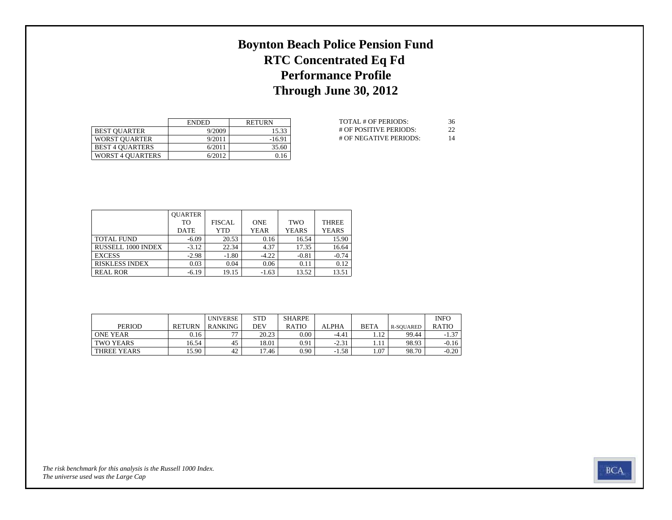## **Boynton Beach Police Pension Fund RTC Concentrated Eq Fd Performance Profile Through June 30, 2012**

|                         | <b>ENDED</b> | <b>RETURN</b> |
|-------------------------|--------------|---------------|
| <b>BEST OUARTER</b>     | 9/2009       | 15.33         |
| <b>WORST OUARTER</b>    | 9/2011       | $-16.91$      |
| <b>BEST 4 OUARTERS</b>  | 6/2011       | 35.60         |
| <b>WORST 4 OUARTERS</b> | 6/2012       | 0.16          |

| TOTAL # OF PERIODS:    | 36 |
|------------------------|----|
| # OF POSITIVE PERIODS: | 22 |
| # OF NEGATIVE PERIODS: | 14 |

|                       | <b>OUARTER</b> |               |             |              |              |
|-----------------------|----------------|---------------|-------------|--------------|--------------|
|                       | TО             | <b>FISCAL</b> | <b>ONE</b>  | <b>TWO</b>   | <b>THREE</b> |
|                       | <b>DATE</b>    | YTD           | <b>YEAR</b> | <b>YEARS</b> | <b>YEARS</b> |
| <b>TOTAL FUND</b>     | $-6.09$        | 20.53         | 0.16        | 16.54        | 15.90        |
| RUSSELL 1000 INDEX    | $-3.12$        | 22.34         | 4.37        | 17.35        | 16.64        |
| <b>EXCESS</b>         | $-2.98$        | $-1.80$       | $-4.22$     | $-0.81$      | $-0.74$      |
| <b>RISKLESS INDEX</b> | 0.03           | 0.04          | 0.06        | 0.11         | 0.12         |
| <b>REAL ROR</b>       | $-6.19$        | 19.15         | $-1.63$     | 13.52        | 13.51        |

|                 |               | <b>UNIVERSE</b>          | <b>STD</b> | <b>SHARPE</b> |              |             |           | <b>INFO</b>  |
|-----------------|---------------|--------------------------|------------|---------------|--------------|-------------|-----------|--------------|
| <b>PERIOD</b>   | <b>RETURN</b> | RANKING                  | DEV        | <b>RATIO</b>  | <b>ALPHA</b> | <b>BETA</b> | R-SOUARED | <b>RATIO</b> |
| <b>ONE YEAR</b> | 0.16          | $\overline{\phantom{a}}$ | 20.23      | $0.00\,$      | $-4.41$      | 12          | 99.44     | $-1.37$      |
| TWO YEARS       | 16.54         | 45                       | 18.01      | 0.91          | $-2.31$      |             | 98.93     | $-0.16$      |
| THREE YEARS     | 15.90         | 42                       | 17.46      | 0.90          | $-1.58$      | . 07        | 98.70     | $-0.20$      |

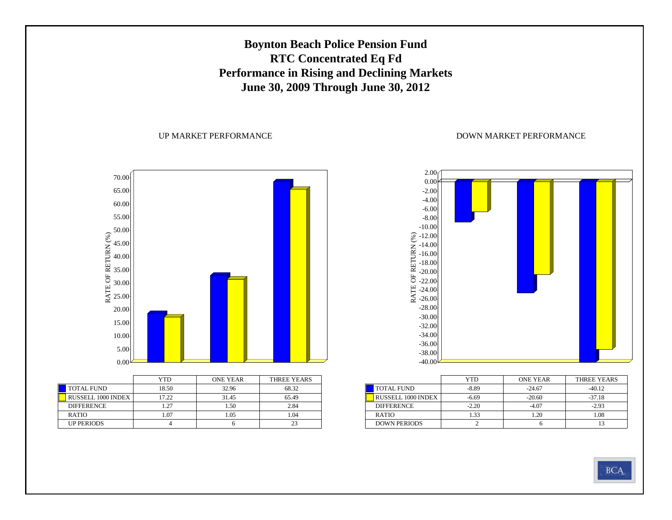### **Boynton Beach Police Pension Fund RTC Concentrated Eq Fd Performance in Rising and Declining Markets June 30, 2009 Through June 30, 2012**

#### UP MARKET PERFORMANCE

RATE OF RETURN (%) 70.00 65.0060.00 55.00 50.00 45.00 40.00 35.00 30.00 25.00 20.00 15.00 10.005.00 $_{0.00}$ 

|                           | YTD   | <b>ONE YEAR</b> | THREE YEARS |
|---------------------------|-------|-----------------|-------------|
| <b>TOTAL FUND</b>         | 18.50 | 32.96           | 68.32       |
| <b>RUSSELL 1000 INDEX</b> | 17.22 | 31.45           | 65.49       |
| <b>DIFFERENCE</b>         | 1.27  | 1.50            | 2.84        |
| <b>RATIO</b>              | 1.07  | 1.05            | .04         |
| <b>UP PERIODS</b>         |       |                 |             |



|                           | YTD     | <b>ONE YEAR</b> | THREE YEARS |
|---------------------------|---------|-----------------|-------------|
| <b>TOTAL FUND</b>         | -8.89   | $-24.67$        | $-4012$     |
| <b>RUSSELL 1000 INDEX</b> | $-6.69$ | $-20.60$        | $-37.18$    |
| <b>DIFFERENCE</b>         | $-2.20$ | -4.07           | $-2.93$     |
| <b>RATIO</b>              | 1.33    | 1.20            | 1.08        |
| <b>DOWN PERIODS</b>       |         |                 |             |

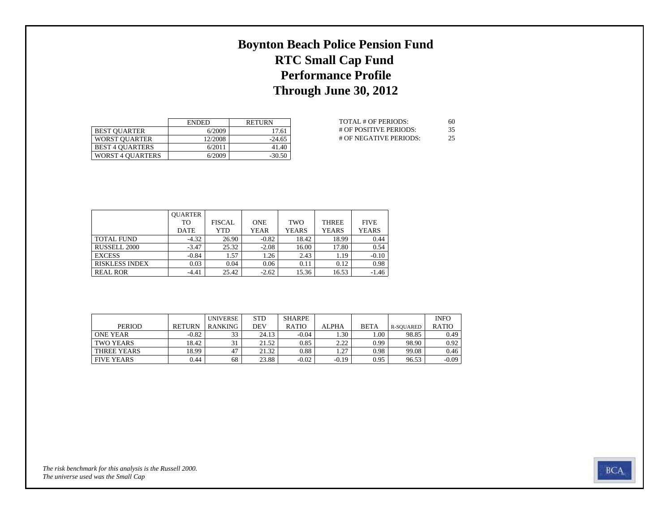## **Boynton Beach Police Pension Fund RTC Small Cap Fund Performance Profile Through June 30, 2012**

|                         | <b>ENDED</b> | <b>RETURN</b> |
|-------------------------|--------------|---------------|
| <b>BEST OUARTER</b>     | 6/2009       | 17.61         |
| <b>WORST OUARTER</b>    | 12/2008      | $-24.65$      |
| <b>BEST 4 OUARTERS</b>  | 6/2011       | 41.40         |
| <b>WORST 4 OUARTERS</b> | 6/2009       | $-30.50$      |

| TOTAL # OF PERIODS:    | 60 |
|------------------------|----|
| # OF POSITIVE PERIODS: | 35 |
| # OF NEGATIVE PERIODS: | 25 |

|                       | <b>OUARTER</b> |               |             |              |              |              |
|-----------------------|----------------|---------------|-------------|--------------|--------------|--------------|
|                       | TO             | <b>FISCAL</b> | <b>ONE</b>  | TWO          | <b>THREE</b> | <b>FIVE</b>  |
|                       | <b>DATE</b>    | YTD           | <b>YEAR</b> | <b>YEARS</b> | <b>YEARS</b> | <b>YEARS</b> |
| <b>TOTAL FUND</b>     | $-4.32$        | 26.90         | $-0.82$     | 18.42        | 18.99        | 0.44         |
| RUSSELL 2000          | $-3.47$        | 25.32         | $-2.08$     | 16.00        | 17.80        | 0.54         |
| <b>EXCESS</b>         | $-0.84$        | 1.57          | 1.26        | 2.43         | 1.19         | $-0.10$      |
| <b>RISKLESS INDEX</b> | 0.03           | 0.04          | 0.06        | 0.11         | 0.12         | 0.98         |
| <b>REAL ROR</b>       | $-4.41$        | 25.42         | $-2.62$     | 15.36        | 16.53        | $-1.46$      |

|                   |               | <b>UNIVERSE</b> | <b>STD</b> | SHARPE       |              |             |           | <b>INFO</b>  |
|-------------------|---------------|-----------------|------------|--------------|--------------|-------------|-----------|--------------|
| <b>PERIOD</b>     | <b>RETURN</b> | <b>RANKING</b>  | DEV        | <b>RATIO</b> | <b>ALPHA</b> | <b>BETA</b> | R-SOUARED | <b>RATIO</b> |
| <b>ONE YEAR</b>   | $-0.82$       | 33              | 24.13      | -0.04        | 1.30         | 00.1        | 98.85     | 0.49         |
| TWO YEARS         | 18.42         |                 | 21.52      | 0.85         | 222          | 0.99        | 98.90     | 0.92         |
| THREE YEARS       | 18.99         | 47              | 21.32      | 0.88         | 1.27         | 0.98        | 99.08     | 0.46         |
| <b>FIVE YEARS</b> | 0.44          | 68              | 23.88      | $-0.02$      | $-0.19$      | 0.95        | 96.53     | $-0.09$      |

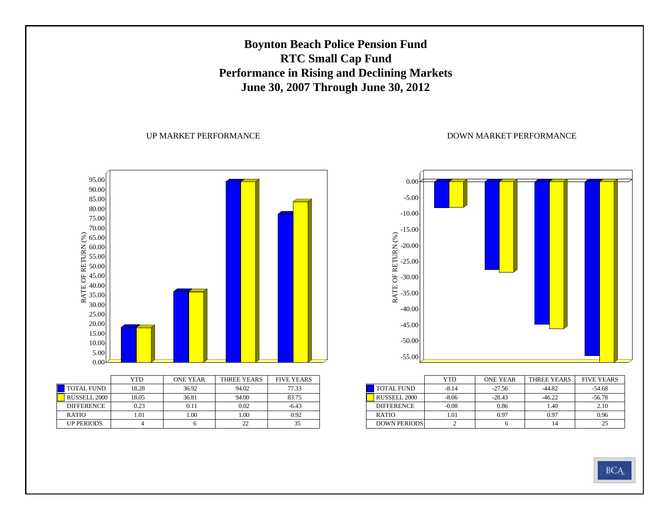### **Boynton Beach Police Pension Fund RTC Small Cap Fund Performance in Rising and Declining Markets June 30, 2007 Through June 30, 2012**

#### UP MARKET PERFORMANCE





|                     | YTD     | <b>ONE YEAR</b> | THREE YEARS | <b>FIVE YEARS</b> |
|---------------------|---------|-----------------|-------------|-------------------|
| <b>TOTAL FUND</b>   | $-8.14$ | $-27.56$        | $-44.82$    | $-54.68$          |
| <b>RUSSELL 2000</b> | $-8.06$ | $-28.43$        | $-46.22$    | $-56.78$          |
| <b>DIFFERENCE</b>   | $-0.08$ | 0.86            | 1.40        | 2.10              |
| <b>RATIO</b>        | 1.01    | 0.97            | 0.97        | 0.96              |
| <b>DOWN PERIODS</b> |         |                 | 14          | 25                |

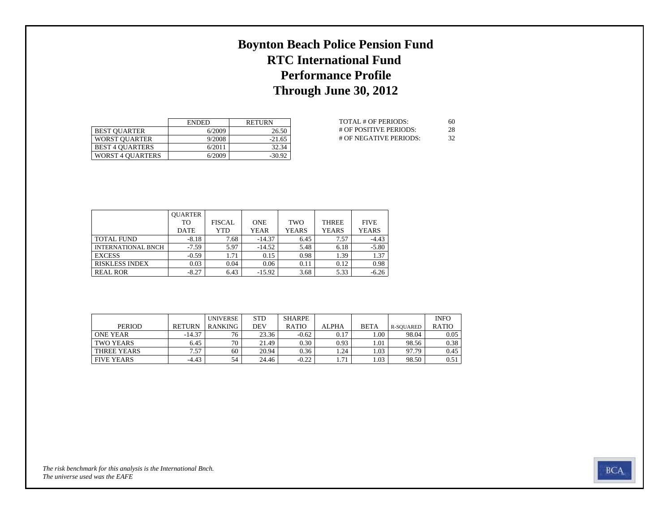## **Boynton Beach Police Pension Fund RTC International Fund Performance Profile Through June 30, 2012**

|                         | <b>ENDED</b> | <b>RETURN</b> |
|-------------------------|--------------|---------------|
| <b>BEST OUARTER</b>     | 6/2009       | 26.50         |
| <b>WORST OUARTER</b>    | 9/2008       | $-21.65$      |
| <b>BEST 4 OUARTERS</b>  | 6/2011       | 32.34         |
| <b>WORST 4 OUARTERS</b> | 6/2009       | $-30.92$      |

| TOTAL # OF PERIODS:    | 60   |
|------------------------|------|
| # OF POSITIVE PERIODS: | 28   |
| # OF NEGATIVE PERIODS: | -32. |

|                           | <b>OUARTER</b> |               |             |              |              |              |
|---------------------------|----------------|---------------|-------------|--------------|--------------|--------------|
|                           | TO             | <b>FISCAL</b> | <b>ONE</b>  | TWO          | <b>THREE</b> | <b>FIVE</b>  |
|                           | <b>DATE</b>    | YTD           | <b>YEAR</b> | <b>YEARS</b> | <b>YEARS</b> | <b>YEARS</b> |
| <b>TOTAL FUND</b>         | $-8.18$        | 7.68          | $-14.37$    | 6.45         | 7.57         | $-4.43$      |
| <b>INTERNATIONAL BNCH</b> | $-7.59$        | 5.97          | $-14.52$    | 5.48         | 6.18         | $-5.80$      |
| <b>EXCESS</b>             | $-0.59$        | 1.71          | 0.15        | 0.98         | 1.39         | 1.37         |
| <b>RISKLESS INDEX</b>     | 0.03           | 0.04          | 0.06        | 0.11         | 0.12         | 0.98         |
| <b>REAL ROR</b>           | $-8.27$        | 6.43          | $-15.92$    | 3.68         | 5.33         | $-6.26$      |

|                   |               | <b>UNIVERSE</b> | <b>STD</b> | SHARPE       |              |             |           | <b>INFO</b>  |
|-------------------|---------------|-----------------|------------|--------------|--------------|-------------|-----------|--------------|
| <b>PERIOD</b>     | <b>RETURN</b> | <b>RANKING</b>  | DEV        | <b>RATIO</b> | <b>ALPHA</b> | <b>BETA</b> | R-SOUARED | <b>RATIO</b> |
| ONE YEAR          | $-14.37$      | 76              | 23.36      | $-0.62$      | 0.17         | 00.1        | 98.04     | 0.05         |
| TWO YEARS         | 6.45          | 70              | 21.49      | 0.30         | 0.93         | 1.01        | 98.56     | 0.38         |
| THREE YEARS       | 7.57          | 60              | 20.94      | 0.36         | 1.24         | 1.03        | 97.79     | 0.45         |
| <b>FIVE YEARS</b> | $-4.43$       | 54              | 24.46      | $-0.22$      | 1.71         | 1.03        | 98.50     | 0.51         |

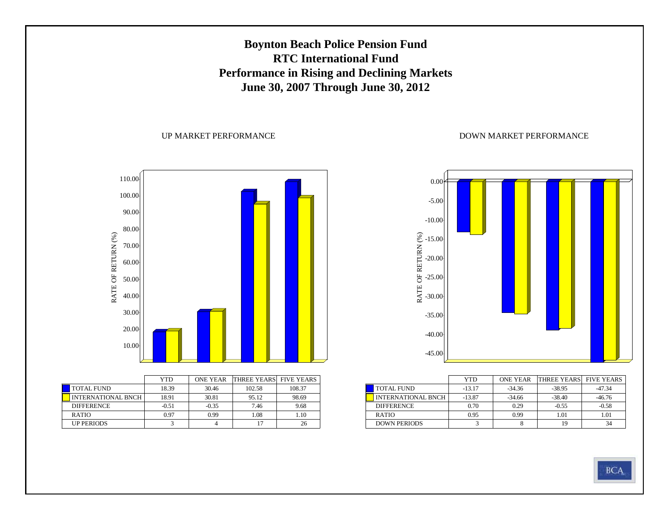### **Boynton Beach Police Pension Fund RTC International Fund Performance in Rising and Declining Markets June 30, 2007 Through June 30, 2012**

#### UP MARKET PERFORMANCE



|                           | <b>YTD</b> | <b>ONE YEAR</b> | <b>THREE YEARS FIVE YEARS</b> |        |
|---------------------------|------------|-----------------|-------------------------------|--------|
| <b>TOTAL FUND</b>         | 18.39      | 30.46           | 102.58                        | 108.37 |
| <b>INTERNATIONAL BNCH</b> | 18.91      | 30.81           | 95.12                         | 98.69  |
| <b>DIFFERENCE</b>         | $-0.51$    | $-0.35$         | 7.46                          | 9.68   |
| <b>RATIO</b>              | 0.97       | 0.99            | 1.08                          | 1.10   |
| <b>UP PERIODS</b>         |            |                 |                               | 26     |



|                           | YTD      | <b>ONE YEAR</b> | <b>THREE YEARS</b> FIVE YEARS |          |
|---------------------------|----------|-----------------|-------------------------------|----------|
| <b>TOTAL FUND</b>         | $-13.17$ | $-34.36$        | $-38.95$                      | $-47.34$ |
| <b>INTERNATIONAL BNCH</b> | $-13.87$ | $-34.66$        | $-38.40$                      | $-46.76$ |
| <b>DIFFERENCE</b>         | 0.70     | 0.29            | $-0.55$                       | $-0.58$  |
| <b>RATIO</b>              | 0.95     | 0.99            | 1.01                          | 1.01     |
| <b>DOWN PERIODS</b>       |          |                 | 19                            | 34       |

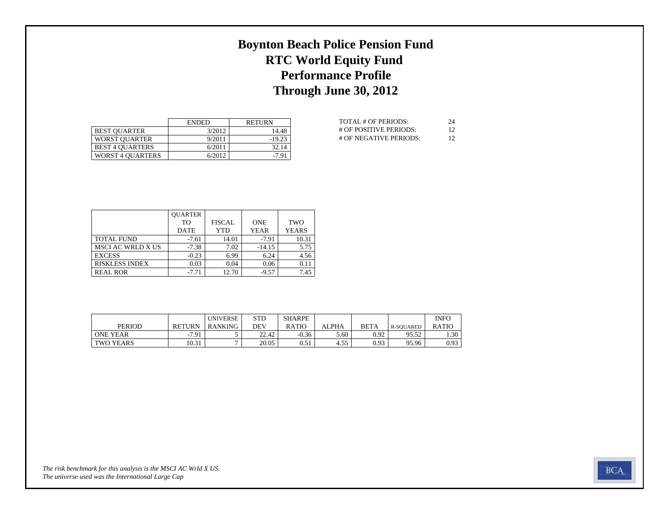### **Boynton Beach Police Pension Fund RTC World Equity Fund Performance Profile Through June 30, 2012**

|                         | <b>ENDED</b> | <b>RETURN</b> |
|-------------------------|--------------|---------------|
| <b>BEST OUARTER</b>     | 3/2012       | 14.48         |
| <b>WORST OUARTER</b>    | 9/2011       | $-19.23$      |
| <b>BEST 4 OUARTERS</b>  | 6/2011       | 32.14         |
| <b>WORST 4 OUARTERS</b> | 6/2012       | $-7.91$       |

| TOTAL # OF PERIODS:    | 24 |
|------------------------|----|
| # OF POSITIVE PERIODS: | 12 |
| # OF NEGATIVE PERIODS: | 12 |

|                          | <b>OUARTER</b> |               |             |              |
|--------------------------|----------------|---------------|-------------|--------------|
|                          | TО             | <b>FISCAL</b> | <b>ONE</b>  | <b>TWO</b>   |
|                          | <b>DATE</b>    | YTD           | <b>YEAR</b> | <b>YEARS</b> |
| <b>TOTAL FUND</b>        | $-7.61$        | 14.01         | $-7.91$     | 10.31        |
| <b>MSCI AC WRLD X US</b> | $-7.38$        | 7.02          | $-14.15$    | 5.75         |
| <b>EXCESS</b>            | $-0.23$        | 6.99          | 6.24        | 4.56         |
| <b>RISKLESS INDEX</b>    | 0.03           | 0.04          | 0.06        | 0.11         |
| <b>REAL ROR</b>          | $-7.71$        | 12.70         | $-9.57$     | 7.45         |

|                  |               | <b>UNIVERSE</b> | <b>STD</b> | <b>SHARPE</b> |              |             |           | <b>INFO</b>  |
|------------------|---------------|-----------------|------------|---------------|--------------|-------------|-----------|--------------|
| <b>PERIOD</b>    | <b>RETURN</b> | RANKING         | DEV        | <b>RATIO</b>  | <b>ALPHA</b> | <b>BETA</b> | R-SOUARED | <b>RATIC</b> |
| <b>ONE YEAR</b>  | $-7.91$       |                 | 22.42      | $-0.36$       | 5.60         | 0.92        | 95.52     | 1.30         |
| <b>TWO YEARS</b> | 10.31         |                 | 20.05      | 0.51          | 4.55         | 0.93        | 95.96     | 0.93         |

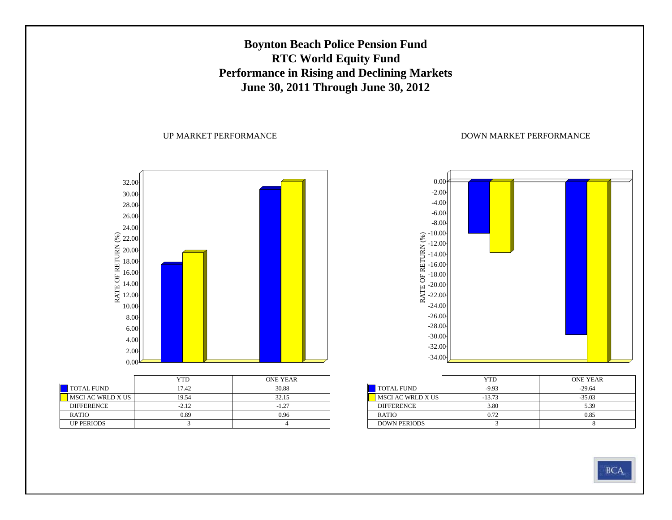### **Boynton Beach Police Pension Fund RTC World Equity Fund Performance in Rising and Declining Markets June 30, 2011 Through June 30, 2012**

#### UP MARKET PERFORMANCE



|                   | YTD     | <b>ONE YEAR</b> |
|-------------------|---------|-----------------|
| <b>TOTAL FUND</b> | 17.42   | 30.88           |
| MSCI AC WRLD X US | 19.54   | 32.15           |
| <b>DIFFERENCE</b> | $-2.12$ | $-1.27$         |
| <b>RATIO</b>      | 0.89    | 0.96            |
| <b>UP PERIODS</b> |         |                 |



|                     | YTD      | <b>ONE YEAR</b> |
|---------------------|----------|-----------------|
| <b>TOTAL FUND</b>   | $-9.93$  | $-29.64$        |
| MSCI AC WRLD X US   | $-13.73$ | $-35.03$        |
| <b>DIFFERENCE</b>   | 3.80     | 5.39            |
| <b>RATIO</b>        | 0.72     | 0.85            |
| <b>DOWN PERIODS</b> |          |                 |

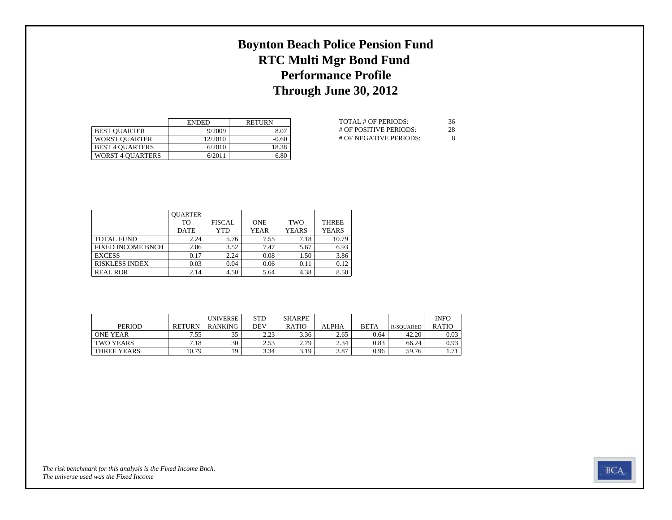## **Boynton Beach Police Pension Fund RTC Multi Mgr Bond Fund Performance Profile Through June 30, 2012**

|                         | <b>ENDED</b> | <b>RETURN</b> |
|-------------------------|--------------|---------------|
| <b>BEST OUARTER</b>     | 9/2009       | 8.07          |
| <b>WORST OUARTER</b>    | 12/2010      | $-0.60$       |
| <b>BEST 4 OUARTERS</b>  | 6/2010       | 18.38         |
| <b>WORST 4 OUARTERS</b> | 6/2011       | 6.80          |

| TOTAL # OF PERIODS:    | 36 |
|------------------------|----|
| # OF POSITIVE PERIODS: | 28 |
| # OF NEGATIVE PERIODS: | 8  |

|                          | <b>OUARTER</b> |               |             |              |              |
|--------------------------|----------------|---------------|-------------|--------------|--------------|
|                          | TО             | <b>FISCAL</b> | <b>ONE</b>  | <b>TWO</b>   | <b>THREE</b> |
|                          | <b>DATE</b>    | YTD           | <b>YEAR</b> | <b>YEARS</b> | <b>YEARS</b> |
| TOTAL FUND               | 2.24           | 5.76          | 7.55        | 7.18         | 10.79        |
| <b>FIXED INCOME BNCH</b> | 2.06           | 3.52          | 7.47        | 5.67         | 6.93         |
| <b>EXCESS</b>            | 0.17           | 2.24          | 0.08        | 1.50         | 3.86         |
| RISKLESS INDEX           | 0.03           | 0.04          | 0.06        | 0.11         | 0.12         |
| <b>REAL ROR</b>          | 2.14           | 4.50          | 5.64        | 4.38         | 8.50         |

|                 |               | <b>UNIVERSE</b> | <b>STD</b>    | <b>SHARPE</b> |              |             |           | <b>INFO</b>  |
|-----------------|---------------|-----------------|---------------|---------------|--------------|-------------|-----------|--------------|
| <b>PERIOD</b>   | <b>RETURN</b> | <b>RANKING</b>  | DEV           | <b>RATIO</b>  | <b>ALPHA</b> | <b>BETA</b> | R-SOUARED | <b>RATIO</b> |
| <b>ONE YEAR</b> | .55           | 25              | 223<br>ل کے و | 3.36          | 2.65         | 0.64        | 42.20     | 0.03         |
| TWO YEARS       | 7.18          | 30              | 2.53          | 2.79          | 2.34         | 0.83        | 66.24     | 0.93         |
| THREE YEARS     | 10.79         | 10              | 3.34          | 3.19          | 3.87         | 0.96        | 59.76     | 71           |

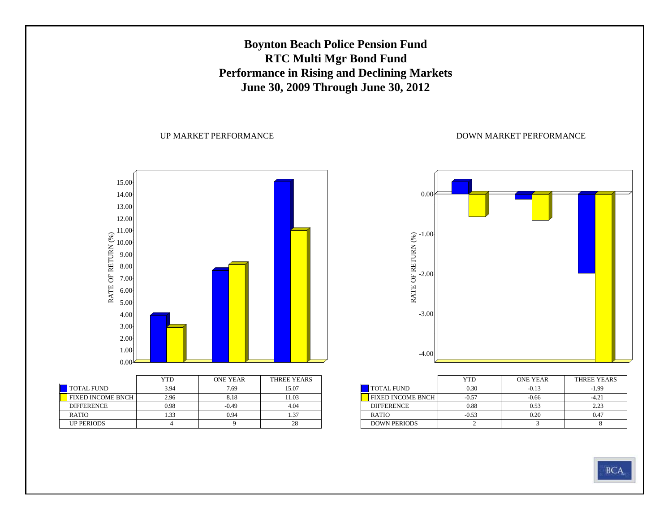### **Boynton Beach Police Pension Fund RTC Multi Mgr Bond Fund Performance in Rising and Declining Markets June 30, 2009 Through June 30, 2012**

UP MARKET PERFORMANCE



|                          | YTD  | <b>ONE YEAR</b> | THREE YEARS |
|--------------------------|------|-----------------|-------------|
| <b>TOTAL FUND</b>        | 3.94 | 7.69            | 15.07       |
| <b>FIXED INCOME BNCH</b> | 2.96 | 8.18            | 11.03       |
| <b>DIFFERENCE</b>        | 0.98 | $-0.49$         | 4.04        |
| <b>RATIO</b>             | 1.33 | 0.94            | 1.37        |
| <b>UP PERIODS</b>        |      |                 | 28          |



|                     | YTD     | <b>ONE YEAR</b> | THREE YEARS |
|---------------------|---------|-----------------|-------------|
| <b>TOTAL FUND</b>   | 0.30    | $-0.13$         | $-1.99$     |
| FIXED INCOME BNCH   | $-0.57$ | $-0.66$         | $-4.21$     |
| <b>DIFFERENCE</b>   | 0.88    | 0.53            | 2.23        |
| <b>RATIO</b>        | $-0.53$ | 0.20            | 0.47        |
| <b>DOWN PERIODS</b> |         |                 |             |

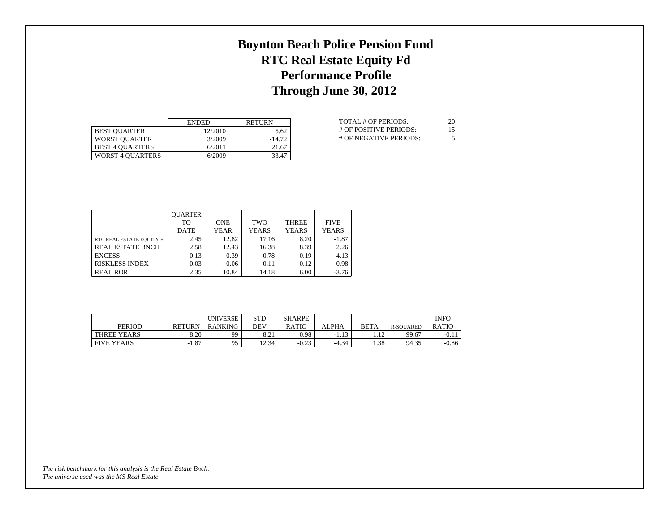## **Boynton Beach Police Pension Fund RTC Real Estate Equity Fd Performance Profile Through June 30, 2012**

|                         | <b>ENDED</b> | <b>RETURN</b> |
|-------------------------|--------------|---------------|
| <b>BEST OUARTER</b>     | 12/2010      | 5.62          |
| <b>WORST OUARTER</b>    | 3/2009       | $-14.72$      |
| <b>BEST 4 OUARTERS</b>  | 6/2011       | 21.67         |
| <b>WORST 4 OUARTERS</b> | 6/2009       | $-33.47$      |

| TOTAL # OF PERIODS:    | 20 |
|------------------------|----|
| # OF POSITIVE PERIODS: | 15 |
| # OF NEGATIVE PERIODS: | 5  |

|                          | <b>OUARTER</b> |             |              |              |              |
|--------------------------|----------------|-------------|--------------|--------------|--------------|
|                          | TО             | <b>ONE</b>  | <b>TWO</b>   | <b>THREE</b> | <b>FIVE</b>  |
|                          | <b>DATE</b>    | <b>YEAR</b> | <b>YEARS</b> | <b>YEARS</b> | <b>YEARS</b> |
| RTC REAL ESTATE EQUITY F | 2.45           | 12.82       | 17.16        | 8.20         | $-1.87$      |
| <b>REAL ESTATE BNCH</b>  | 2.58           | 12.43       | 16.38        | 8.39         | 2.26         |
| <b>EXCESS</b>            | $-0.13$        | 0.39        | 0.78         | $-0.19$      | $-4.13$      |
| <b>RISKLESS INDEX</b>    | 0.03           | 0.06        | 0.11         | 0.12         | 0.98         |
| <b>REAL ROR</b>          | 2.35           | 10.84       | 14.18        | 6.00         | $-3.76$      |

|                   |               | <b>UNIVERSE</b> | STD                     | <b>SHARPE</b> |             |             |           | <b>INFO</b>  |
|-------------------|---------------|-----------------|-------------------------|---------------|-------------|-------------|-----------|--------------|
| PERIOD            | <b>RETURN</b> | RANKING         | DEV                     | <b>RATIC</b>  | ALPHA       | <b>BETA</b> | R-SOUARED | <b>RATIO</b> |
| THREE YEARS       | 8.20          | 99              | O <sub>1</sub><br>0.Z J | 0.98          | 12<br>-1.15 | 12          | 99.67     | $-0.11$      |
| <b>FIVE YEARS</b> | $-1.87$       | 95              | 12.34                   | $-0.23$       | $-4.34$     | 1.38        | 94.35     | $-0.86$      |

*The universe used was the MS Real Estate. The risk benchmark for this analysis is the Real Estate Bnch.*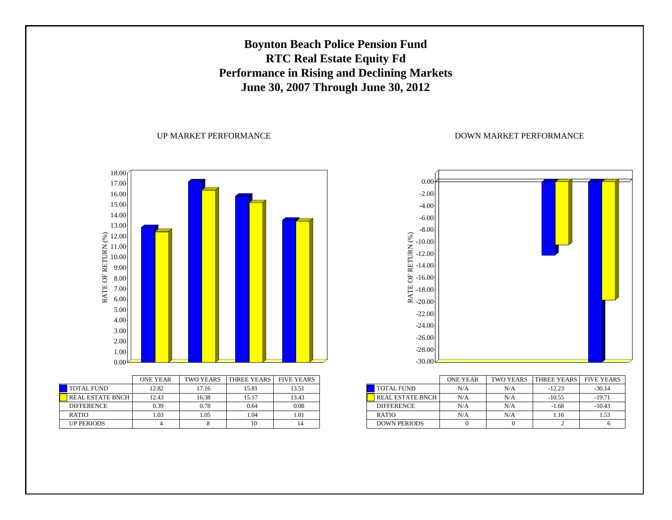### **Boynton Beach Police Pension Fund RTC Real Estate Equity Fd Performance in Rising and Declining Markets June 30, 2007 Through June 30, 2012**

#### UP MARKET PERFORMANCE



|                         | <b>ONE YEAR</b> | <b>TWO YEARS</b> | <b>THREE YEARS</b> | <b>FIVE YEARS</b> |
|-------------------------|-----------------|------------------|--------------------|-------------------|
| <b>TOTAL FUND</b>       | 12.82           | 17.16            | 15.81              | 13.51             |
| <b>REAL ESTATE BNCH</b> | 12.43           | 16.38            | 15.17              | 13.43             |
| <b>DIFFERENCE</b>       | 0.39            | 0.78             | 0.64               | 0.08              |
| <b>RATIO</b>            | 1.03            | 1.05             | 1.04               | 1.01              |
| <b>UP PERIODS</b>       |                 |                  | 10                 | 14                |



|                         | <b>ONE YEAR</b> | <b>TWO YEARS</b> | <b>THREE YEARS</b> | <b>FIVE YEARS</b> |
|-------------------------|-----------------|------------------|--------------------|-------------------|
| <b>TOTAL FUND</b>       | N/A             | N/A              | $-12.23$           | $-30.14$          |
| <b>REAL ESTATE BNCH</b> | N/A             | N/A              | $-10.55$           | $-19.71$          |
| <b>DIFFERENCE</b>       | N/A             | N/A              | $-1.68$            | $-10.43$          |
| <b>RATIO</b>            | N/A             | N/A              | 1.16               | 1.53              |
| <b>DOWN PERIODS</b>     |                 |                  |                    |                   |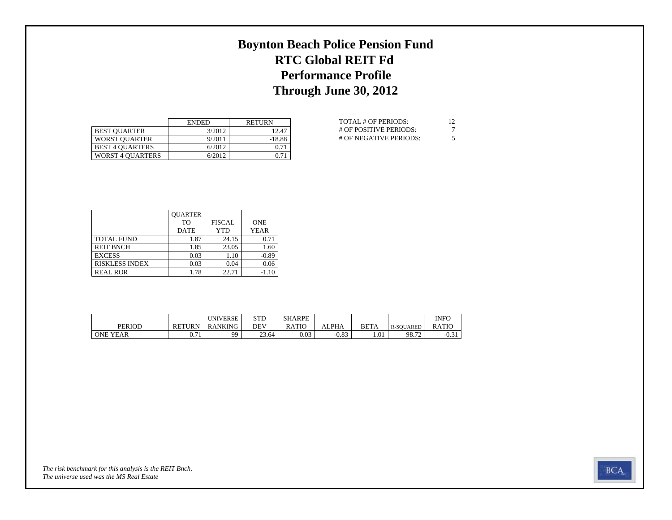## **Boynton Beach Police Pension Fund RTC Global REIT Fd Performance Profile Through June 30, 2012**

|                         | <b>ENDED</b> | <b>RETURN</b> |
|-------------------------|--------------|---------------|
| <b>BEST OUARTER</b>     | 3/2012       | 12.47         |
| <b>WORST OUARTER</b>    | 9/2011       | $-18.88$      |
| <b>BEST 4 OUARTERS</b>  | 6/2012       | 0.71          |
| <b>WORST 4 OUARTERS</b> | 6/2012       | 0.71          |

| TOTAL # OF PERIODS:    | 12 |
|------------------------|----|
| # OF POSITIVE PERIODS: |    |
| # OF NEGATIVE PERIODS: | 5  |

|                       | <b>OUARTER</b> |               |             |
|-----------------------|----------------|---------------|-------------|
|                       | T <sub>O</sub> | <b>FISCAL</b> | <b>ONE</b>  |
|                       | <b>DATE</b>    | YTD           | <b>YEAR</b> |
| <b>TOTAL FUND</b>     | 1.87           | 24.15         | 0.71        |
| <b>REIT BNCH</b>      | 1.85           | 23.05         | 1.60        |
| <b>EXCESS</b>         | 0.03           | 1.10          | $-0.89$     |
| <b>RISKLESS INDEX</b> | 0.03           | 0.04          | 0.06        |
| <b>REAL ROR</b>       | 1.78           | 22.71         | $-1.10$     |

|                 |                | <b>UNIVERSE</b> | <b>STD</b> | <b>SHARPE</b> |                |             |                  | <b>INFO</b>  |
|-----------------|----------------|-----------------|------------|---------------|----------------|-------------|------------------|--------------|
| <b>PERIOD</b>   | <b>RETURN</b>  | <b>RANKING</b>  | DEV        | RATIO         | <b>ALPHA</b>   | <b>BETA</b> | <b>R-SOUARED</b> | <b>RATIC</b> |
| <b>ONE YEAR</b> | $\mathbf{v}$ . | aa              | 23.64      | 0.03          | റ റെ<br>$-U.0$ | 1.01        | 98.72            | $-U.5.$      |

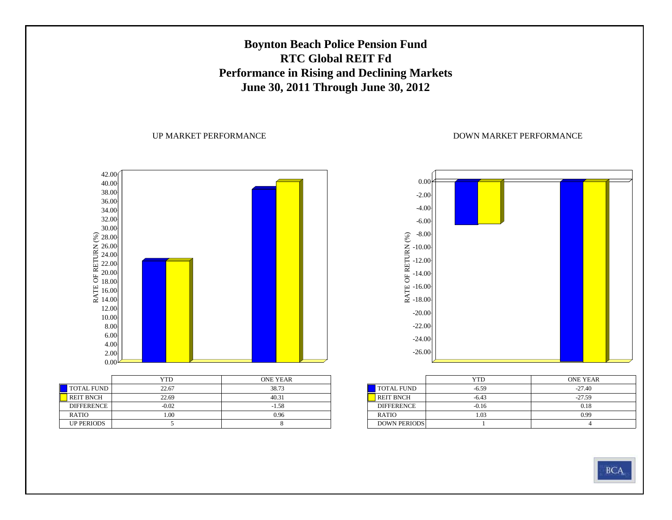### **Boynton Beach Police Pension Fund RTC Global REIT FdPerformance in Rising and Declining Markets June 30, 2011 Through June 30, 2012**

UP MARKET PERFORMANCE



|                   | YTD     | <b>ONE YEAR</b> |
|-------------------|---------|-----------------|
| <b>TOTAL FUND</b> | 22.67   | 38.73           |
| <b>REIT BNCH</b>  | 22.69   | 40.31           |
| <b>DIFFERENCE</b> | $-0.02$ | $-1.58$         |
| RATIO             | 1.00    | 0.96            |
| <b>UP PERIODS</b> |         |                 |



|                     | YTD     | <b>ONE YEAR</b> |
|---------------------|---------|-----------------|
| TOTAL FUND          | $-6.59$ | $-27.40$        |
| <b>REIT BNCH</b>    | $-6.43$ | $-27.59$        |
| <b>DIFFERENCE</b>   | $-0.16$ | 0.18            |
| <b>RATIO</b>        | 1.03    | 0.99            |
| <b>DOWN PERIODS</b> |         |                 |

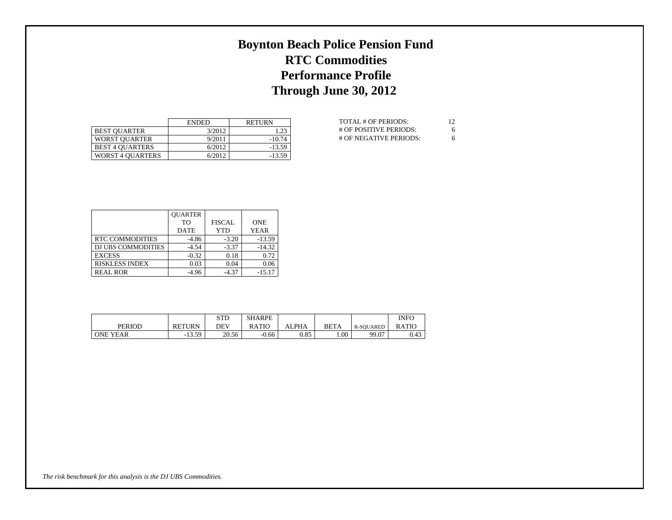## **Boynton Beach Police Pension Fund RTC Commodities Performance Profile Through June 30, 2012**

|                         | <b>ENDED</b> | <b>RETURN</b> |
|-------------------------|--------------|---------------|
| <b>BEST OUARTER</b>     | 3/2012       | 1.23          |
| <b>WORST OUARTER</b>    | 9/2011       | $-10.74$      |
| <b>BEST 4 OUARTERS</b>  | 6/2012       | $-13.59$      |
| <b>WORST 4 OUARTERS</b> | 6/2012       | $-13.59$      |

| TOTAL # OF PERIODS:    | 12 |
|------------------------|----|
| # OF POSITIVE PERIODS: | 6  |
| # OF NEGATIVE PERIODS: | 6  |

|                           | <b>OUARTER</b> |               |             |
|---------------------------|----------------|---------------|-------------|
|                           | T <sub>O</sub> | <b>FISCAL</b> | <b>ONE</b>  |
|                           | <b>DATE</b>    | YTD           | <b>YEAR</b> |
| RTC COMMODITIES           | $-4.86$        | $-3.20$       | $-13.59$    |
| <b>DJ UBS COMMODITIES</b> | $-4.54$        | $-3.37$       | $-14.32$    |
| <b>EXCESS</b>             | $-0.32$        | 0.18          | 0.72        |
| <b>RISKLESS INDEX</b>     | 0.03           | 0.04          | 0.06        |
| <b>REAL ROR</b>           | $-4.96$        | $-4.37$       | $-15.17$    |

|                 |               | <b>STD</b> | <b>SHARPE</b> |            |      |                  | INFC         |
|-----------------|---------------|------------|---------------|------------|------|------------------|--------------|
| <b>PERIOD</b>   | <b>RETURN</b> | DEV        | <b>RATIO</b>  | <b>PHA</b> | BETA | <b>R-SOUARED</b> | <b>RATIO</b> |
| <b>ONE YEAR</b> | 13.59<br>- 1  | 20.56      | $-0.66$       | 0.85       | 1.00 | 99.07            | 0.43         |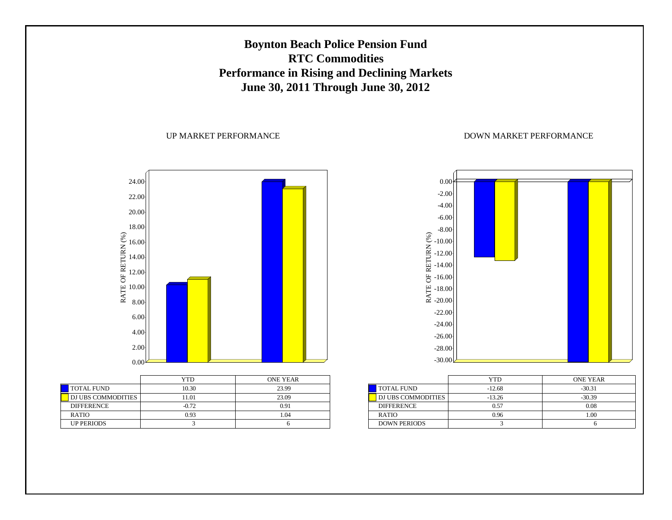### **Boynton Beach Police Pension Fund RTC CommoditiesPerformance in Rising and Declining Markets June 30, 2011 Through June 30, 2012**

#### UP MARKET PERFORMANCE



|                    | YTD     | <b>ONE YEAR</b> |
|--------------------|---------|-----------------|
| <b>TOTAL FUND</b>  | 10.30   | 23.99           |
| DJ UBS COMMODITIES | 11.01   | 23.09           |
| <b>DIFFERENCE</b>  | $-0.72$ | 0.91            |
| <b>RATIO</b>       | 0.93    | 1.04            |
| <b>UP PERIODS</b>  |         |                 |



|                     | YTD      | <b>ONE YEAR</b> |
|---------------------|----------|-----------------|
| <b>TOTAL FUND</b>   | $-12.68$ | $-30.31$        |
| DJ UBS COMMODITIES  | $-13.26$ | $-30.39$        |
| <b>DIFFERENCE</b>   | 0.57     | 0.08            |
| <b>RATIO</b>        | 0.96     | 1.00            |
| <b>DOWN PERIODS</b> |          |                 |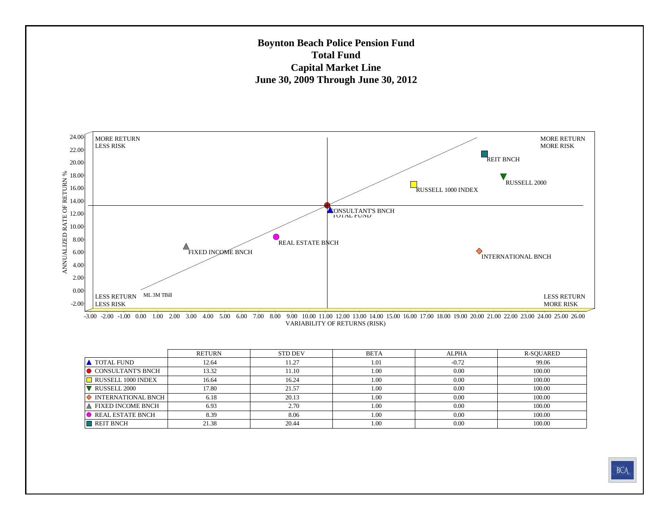#### **Boynton Beach Police Pension Fund Total FundCapital Market Line June 30, 2009 Through June 30, 2012**



VARIABILITY OF RETURNS (RISK) -3.00 -2.00 -1.00 0.00 1.00 2.00 3.00 4.00 5.00 6.00 7.00 8.00 9.00 10.00 11.00 12.00 13.00 14.00 15.00 16.00 17.00 18.00 19.00 20.00 21.00 22.00 23.00 24.00 25.00 26.00

|                                 | <b>RETURN</b> | <b>STD DEV</b> | <b>BETA</b> | <b>ALPHA</b> | R-SOUARED |
|---------------------------------|---------------|----------------|-------------|--------------|-----------|
| <b>A</b> TOTAL FUND             | 12.64         | 11.27          | 1.01        | $-0.72$      | 99.06     |
| <b>O</b> CONSULTANT'S BNCH      | 13.32         | 11.10          | 1.00        | 0.00         | 100.00    |
| RUSSELL 1000 INDEX              | 16.64         | 16.24          | 1.00        | 0.00         | 100.00    |
| $\triangledown$ RUSSELL 2000    | 17.80         | 21.57          | 1.00        | 0.00         | 100.00    |
| $\Diamond$ INTERNATIONAL BNCH   | 6.18          | 20.13          | 1.00        | 0.00         | 100.00    |
| A FIXED INCOME BNCH             | 6.93          | 2.70           | 1.00        | 0.00         | 100.00    |
| $\blacksquare$ REAL ESTATE BNCH | 8.39          | 8.06           | 1.00        | 0.00         | 100.00    |
| REIT BNCH                       | 21.38         | 20.44          | 1.00        | 0.00         | 100.00    |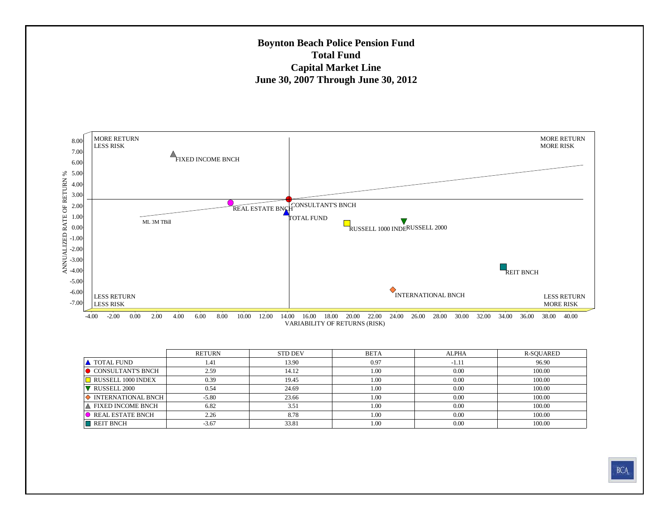#### **Boynton Beach Police Pension Fund Total FundCapital Market Line June 30, 2007 Through June 30, 2012**



|                                   | RETURN  | <b>STD DEV</b> | <b>BETA</b> | <b>ALPHA</b> | R-SQUARED |
|-----------------------------------|---------|----------------|-------------|--------------|-----------|
| <b>A</b> TOTAL FUND               | 1.41    | 13.90          | 0.97        | $-1.11$      | 96.90     |
| <b>O</b> CONSULTANT'S BNCH        | 2.59    | 14.12          | 1.00        | 0.00         | 100.00    |
| $\blacksquare$ RUSSELL 1000 INDEX | 0.39    | 19.45          | 1.00        | 0.00         | 100.00    |
| $\nabla$ RUSSELL 2000             | 0.54    | 24.69          | 1.00        | 0.00         | 100.00    |
| $\Diamond$ INTERNATIONAL BNCH     | $-5.80$ | 23.66          | 1.00        | 0.00         | 100.00    |
| A FIXED INCOME BNCH               | 6.82    | 3.51           | 1.00        | 0.00         | 100.00    |
| <b>O</b> REAL ESTATE BNCH         | 2.26    | 8.78           | 1.00        | 0.00         | 100.00    |
| $\blacksquare$ REIT BNCH          | $-3.67$ | 33.81          | 1.00        | 0.00         | 100.00    |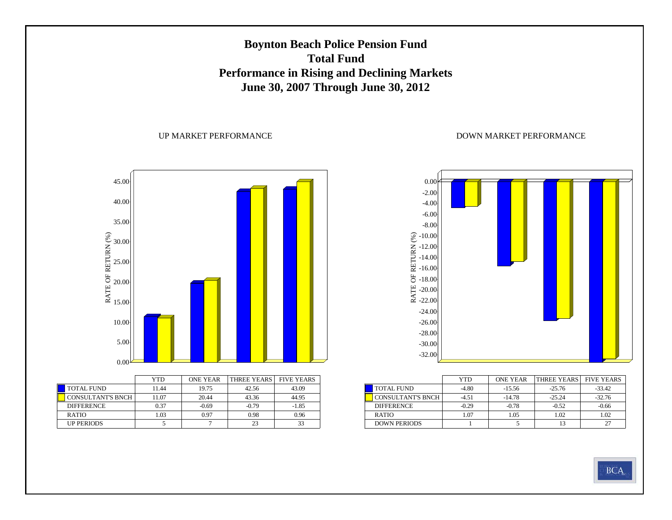### **Boynton Beach Police Pension Fund Total FundPerformance in Rising and Declining Markets June 30, 2007 Through June 30, 2012**

#### UP MARKET PERFORMANCE



|                          | YTD   | <b>ONE YEAR</b> | THREE YEARS | <b>FIVE YEARS</b> |
|--------------------------|-------|-----------------|-------------|-------------------|
| <b>TOTAL FUND</b>        | 11.44 | 19.75           | 42.56       | 43.09             |
| <b>CONSULTANT'S BNCH</b> | 11.07 | 20.44           | 43.36       | 44.95             |
| <b>DIFFERENCE</b>        | 0.37  | $-0.69$         | $-0.79$     | $-1.85$           |
| <b>RATIO</b>             | 1.03  | 0.97            | 0.98        | 0.96              |
| <b>UP PERIODS</b>        |       |                 | 23          | 33                |



|                          | YTD     | <b>ONE YEAR</b> | <b>THREE YEARS</b> | <b>FIVE YEARS</b> |
|--------------------------|---------|-----------------|--------------------|-------------------|
| <b>TOTAL FUND</b>        | $-4.80$ | $-15.56$        | $-25.76$           | $-33.42$          |
| <b>CONSULTANT'S BNCH</b> | $-4.51$ | $-14.78$        | $-25.24$           | $-32.76$          |
| <b>DIFFERENCE</b>        | $-0.29$ | $-0.78$         | $-0.52$            | $-0.66$           |
| <b>RATIO</b>             | 1.07    | 1.05            | 1.02               | 1.02              |
| <b>DOWN PERIODS</b>      |         |                 |                    |                   |

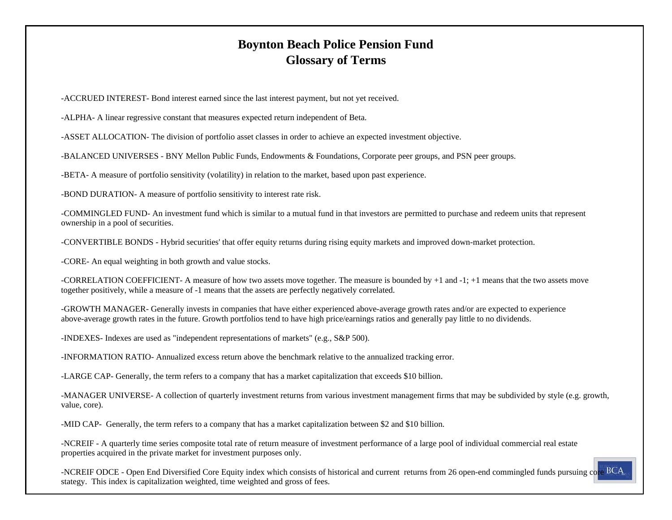### **Boynton Beach Police Pension Fund Glossary of Terms**

-ACCRUED INTEREST- Bond interest earned since the last interest payment, but not yet received.

-ALPHA- A linear regressive constant that measures expected return independent of Beta.

-ASSET ALLOCATION- The division of portfolio asset classes in order to achieve an expected investment objective.

-BALANCED UNIVERSES - BNY Mellon Public Funds, Endowments & Foundations, Corporate peer groups, and PSN peer groups.

-BETA- A measure of portfolio sensitivity (volatility) in relation to the market, based upon past experience.

-BOND DURATION- A measure of portfolio sensitivity to interest rate risk.

-COMMINGLED FUND- An investment fund which is similar to a mutual fund in that investors are permitted to purchase and redeem units that represent ownership in a pool of securities.

-CONVERTIBLE BONDS - Hybrid securities' that offer equity returns during rising equity markets and improved down-market protection.

-CORE- An equal weighting in both growth and value stocks.

-CORRELATION COEFFICIENT- A measure of how two assets move together. The measure is bounded by +1 and -1; +1 means that the two assets move together positively, while a measure of -1 means that the assets are perfectly negatively correlated.

-GROWTH MANAGER- Generally invests in companies that have either experienced above-average growth rates and/or are expected to experience above-average growth rates in the future. Growth portfolios tend to have high price/earnings ratios and generally pay little to no dividends.

-INDEXES- Indexes are used as "independent representations of markets" (e.g., S&P 500).

-INFORMATION RATIO- Annualized excess return above the benchmark relative to the annualized tracking error.

-LARGE CAP- Generally, the term refers to a company that has a market capitalization that exceeds \$10 billion.

-MANAGER UNIVERSE- A collection of quarterly investment returns from various investment management firms that may be subdivided by style (e.g. growth, value, core).

-MID CAP- Generally, the term refers to a company that has a market capitalization between \$2 and \$10 billion.

-NCREIF - A quarterly time series composite total rate of return measure of investment performance of a large pool of individual commercial real estate properties acquired in the private market for investment purposes only.

-NCREIF ODCE - Open End Diversified Core Equity index which consists of historical and current returns from 26 open-end commingled funds pursuing core BCA stategy. This index is capitalization weighted, time weighted and gross of fees.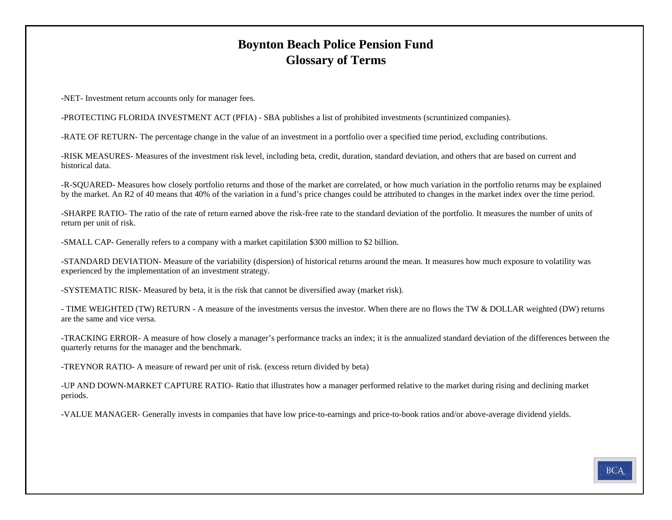### **Boynton Beach Police Pension Fund Glossary of Terms**

-NET- Investment return accounts only for manager fees.

-PROTECTING FLORIDA INVESTMENT ACT (PFIA) - SBA publishes a list of prohibited investments (scruntinized companies).

-RATE OF RETURN- The percentage change in the value of an investment in a portfolio over a specified time period, excluding contributions.

-RISK MEASURES- Measures of the investment risk level, including beta, credit, duration, standard deviation, and others that are based on current and historical data.

-R-SQUARED- Measures how closely portfolio returns and those of the market are correlated, or how much variation in the portfolio returns may be explained by the market. An R2 of 40 means that 40% of the variation in a fund's price changes could be attributed to changes in the market index over the time period.

-SHARPE RATIO- The ratio of the rate of return earned above the risk-free rate to the standard deviation of the portfolio. It measures the number of units of return per unit of risk.

-SMALL CAP- Generally refers to a company with a market capitilation \$300 million to \$2 billion.

-STANDARD DEVIATION- Measure of the variability (dispersion) of historical returns around the mean. It measures how much exposure to volatility was experienced by the implementation of an investment strategy.

-SYSTEMATIC RISK- Measured by beta, it is the risk that cannot be diversified away (market risk).

- TIME WEIGHTED (TW) RETURN - A measure of the investments versus the investor. When there are no flows the TW & DOLLAR weighted (DW) returns are the same and vice versa.

-TRACKING ERROR- A measure of how closely a manager's performance tracks an index; it is the annualized standard deviation of the differences between the quarterly returns for the manager and the benchmark.

-TREYNOR RATIO- A measure of reward per unit of risk. (excess return divided by beta)

-UP AND DOWN-MARKET CAPTURE RATIO- Ratio that illustrates how a manager performed relative to the market during rising and declining market periods.

-VALUE MANAGER- Generally invests in companies that have low price-to-earnings and price-to-book ratios and/or above-average dividend yields.